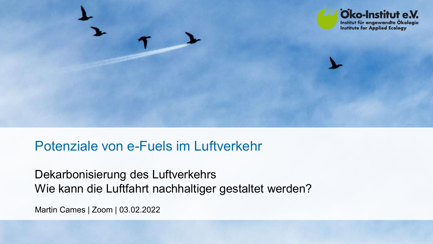

# Potenziale von e-Fuels im Luftverkehr

Dekarbonisierung des Luftverkehrs Wie kann die Luftfahrt nachhaltiger gestaltet werden?

Martin Cames | Zoom | 03.02.2022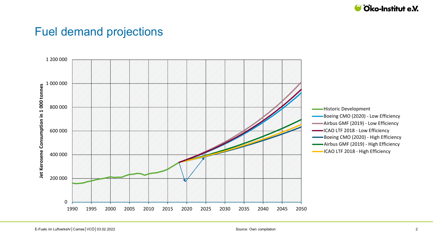

### Fuel demand projections

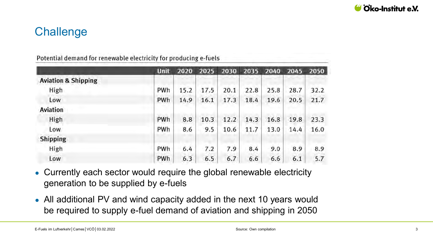

# **Challenge**

|  |  |  | Potential demand for renewable electricity for producing e-fuels |
|--|--|--|------------------------------------------------------------------|
|--|--|--|------------------------------------------------------------------|

|                                | <b>Unit</b> | 2020 | 2025 | 2030 | 2035 | 2040 | 2045 | 2050 |
|--------------------------------|-------------|------|------|------|------|------|------|------|
| <b>Aviation &amp; Shipping</b> |             |      |      |      |      |      |      |      |
| High                           | PWh         | 15.2 | 17.5 | 20.1 | 22.8 | 25.8 | 28.7 | 32.2 |
| Low                            | PWh         | 14.9 | 16.1 | 17.3 | 18.4 | 19.6 | 20.5 | 21.7 |
| <b>Aviation</b>                |             |      |      |      |      |      |      |      |
| High                           | PWh         | 8.8  | 10.3 | 12.2 | 14.3 | 16.8 | 19.8 | 23.3 |
| Low                            | PWh         | 8.6  | 9.5  | 10.6 | 11.7 | 13.0 | 14.4 | 16.0 |
| <b>Shipping</b>                |             |      |      |      |      |      |      |      |
| High                           | PWh         | 6.4  | 7.2  | 7.9  | 8.4  | 9.0  | 8.9  | 8.9  |
| Low                            | PWh         | 6.3  | 6.5  | 6.7  | 6.6  | 6.6  | 6.1  | 5.7  |

- Currently each sector would require the global renewable electricity generation to be supplied by e-fuels
- All additional PV and wind capacity added in the next 10 years would be required to supply e-fuel demand of aviation and shipping in 2050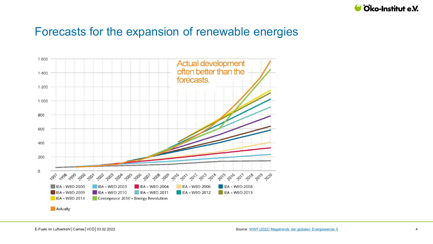

### Forecasts for the expansion of renewable energies

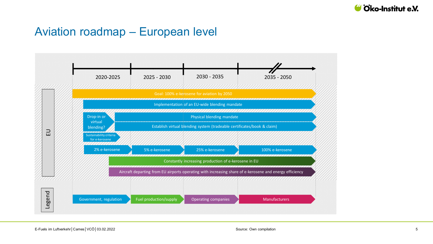

### Aviation roadmap – European level <u>roadma</u> flagship airport Potentially incl.  $\overline{\phantom{a}}$

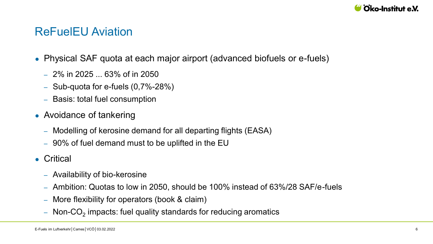

### ReFuelEU Aviation

- Physical SAF quota at each major airport (advanced biofuels or e-fuels)
	- ‒ 2% in 2025 ... 63% of in 2050
	- $-$  Sub-quota for e-fuels  $(0,7% -28%)$
	- ‒ Basis: total fuel consumption
- Avoidance of tankering
	- ‒ Modelling of kerosine demand for all departing flights (EASA)
	- ‒ 90% of fuel demand must to be uplifted in the EU
- Critical
	- ‒ Availability of bio-kerosine
	- ‒ Ambition: Quotas to low in 2050, should be 100% instead of 63%/28 SAF/e-fuels
	- ‒ More flexibility for operators (book & claim)
	- $-$  Non-CO $_2$  impacts: fuel quality standards for reducing aromatics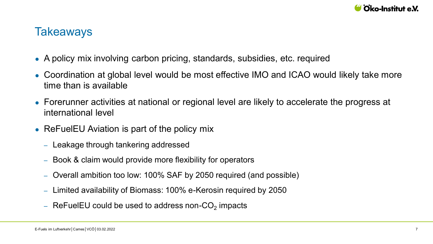

### **Takeaways**

- A policy mix involving carbon pricing, standards, subsidies, etc. required
- Coordination at global level would be most effective IMO and ICAO would likely take more time than is available
- Forerunner activities at national or regional level are likely to accelerate the progress at international level
- ReFuelEU Aviation is part of the policy mix
	- Leakage through tankering addressed
	- ‒ Book & claim would provide more flexibility for operators
	- ‒ Overall ambition too low: 100% SAF by 2050 required (and possible)
	- ‒ Limited availability of Biomass: 100% e-Kerosin required by 2050
	- $-$  ReFuelEU could be used to address non-CO $_2$  impacts